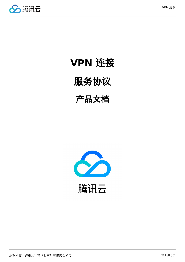



# **VPN** 连接

# 服务协议

# 产品文档

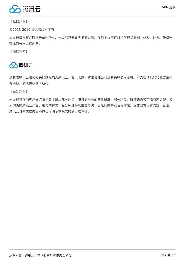

【版权声明】

©2013-2019 腾讯云版权所有

本文档著作权归腾讯云单独所有,未经腾讯云事先书面许可,任何主体不得以任何形式复制、修改、抄袭、传播全 部或部分本文档内容。

【商标声明】



及其它腾讯云服务相关的商标均为腾讯云计算(北京)有限责任公司及其关联公司所有。本文档涉及的第三方主体 的商标,依法由权利人所有。

【服务声明】

本文档意在向客户介绍腾讯云全部或部分产品、服务的当时的整体概况,部分产品、服务的内容可能有所调整。您 所购买的腾讯云产品、服务的种类、服务标准等应由您与腾讯云之间的商业合同约定,除非双方另有约定,否则, 腾讯云对本文档内容不做任何明示或模式的承诺或保证。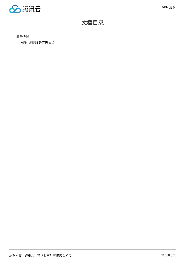

# 文档目录

服[务协议](#page-3-0)

VPN 连接服务等[级协议](#page-3-1)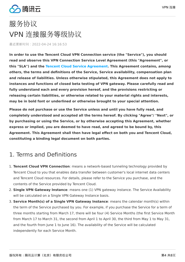

# <span id="page-3-1"></span><span id="page-3-0"></span>服务协议 VPN 连接服务等级协议

最近更新时间:2022-04-24 16:16:53

**In order to use the Tencent Cloud VPN Connection service (the "Service"), you should read and observe this VPN Connection Service Level Agreement (this "Agreement", or this "SLA") and the [Tencent Cloud Service Agreement.](https://intl.cloud.tencent.com/document/product/301/9248) This Agreement contains, among others, the terms and definitions of the Service, Service availability, compensation plan and release of liabilities. Unless otherwise stipulated, this Agreement does not apply to instances and functions of closed beta testing of VPN gateway. Please carefully read and fully understand each and every provision hereof, and the provisions restricting or releasing certain liabilities, or otherwise related to your material rights and interests, may be in bold font or underlined or otherwise brought to your special attention.**

**Please do not purchase or use the Service unless and until you have fully read, and completely understood and accepted all the terms hereof. By clicking "Agree"/ "Next", or by purchasing or using the Service, or by otherwise accepting this Agreement, whether express or implied, you are deemed to have read, and agreed to be bound by, this Agreement. This Agreement shall then have legal effect on both you and Tencent Cloud, constituting a binding legal document on both parties.**

### 1. Terms and Definitions

- 1. **Tencent Cloud VPN Connection**: means a network-based tunneling technology provided by Tencent Cloud to you that enables data transfer between customer's local internet data centers and Tencent Cloud resources. For details, please refer to the Service you purchase, and the contents of the Service provided by Tencent Cloud.
- 2. **Single VPN Gateway Instance**: means one (1) VPN gateway instance. The Service Availability will be calculated on a Single VPN Gateway Instance basis.
- 3. **Service Month(s) of a Single VPN Gateway Instance**: means the calendar month(s) within the term of the Service purchased by you. For example, if you purchase the Service for a term of three months starting from March 17, there will be four (4) Service Months (the first Service Month from March 17 to March 31, the second from April 1 to April 30, the third from May 1 to May 31, and the fourth from June 1 to June 16). The availability of the Service will be calculated independently for each Service Month.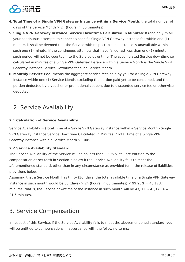

- 4. **Total Time of a Single VPN Gateway Instance within a Service Month**: the total number of days of the Service Month  $\times$  24 (hours)  $\times$  60 (minutes).
- 5. **Single VPN Gateway Instance Service Downtime Calculated in Minutes**: If (and only if) all your continuous attempts to connect a specific Single VPN Gateway Instance fail within one (1) minute, it shall be deemed that the Service with respect to such instance is unavailable within such one (1) minute. If the continuous attempts that have failed last less than one (1) minute, such period will not be counted into the Service downtime. The accumulated Service downtime so calculated in minutes of a Single VPN Gateway Instance within a Service Month is the Single VPN Gateway Instance Service Downtime for such Service Month.
- 6. **Monthly Service Fee**: means the aggregate service fees paid by you for a Single VPN Gateway Instance within one (1) Service Month, excluding the portion paid yet to be consumed, and the portion deducted by a voucher or promotional coupon, due to discounted service fee or otherwise deducted.

## 2. Service Availability

#### **2.1 Calculation of Service Availability**

Service Availability = (Total Time of a Single VPN Gateway Instance within a Service Month - Single VPN Gateway Instance Service Downtime Calculated in Minutes) / Total Time of a Single VPN Gateway Instance within a Service Month  $\times$  100%

#### **2.2 Service Availability Standard**

The Service Availability of the Service will be no less than 99.95%. You are entitled to the compensation as set forth in Section 3 below if the Service Availability fails to meet the aforementioned standard, other than in any circumstance as provided for in the release of liabilities provisions below.

Assuming that a Service Month has thirty (30) days, the total available time of a Single VPN Gateway Instance in such month would be 30 (days)  $\times$  24 (hours)  $\times$  60 (minutes)  $\times$  99.95% = 43,178.4 minutes; that is, the Service downtime of the instance in such month will be  $43,200 - 43,178.4 =$ 21.6 minutes.

# 3. Service Compensation

In respect of this Service, if the Service Availability fails to meet the abovementioned standard, you will be entitled to compensations in accordance with the following terms: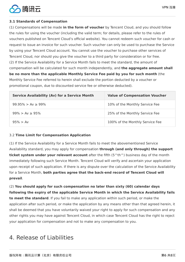

#### **3.1 Standards of Compensation**

(1) Compensations will be made **in the form of voucher** by Tencent Cloud, and you should follow the rules for using the voucher (including the valid term; for details, please refer to the rules of vouchers published on Tencent Cloud's official website). You cannot redeem such voucher for cash or request to issue an invoice for such voucher. Such voucher can only be used to purchase the Service by using your Tencent Cloud account. You cannot use the voucher to purchase other services of Tencent Cloud, nor should you give the voucher to a third party for consideration or for free. (2) If the Service Availability for a Service Month fails to meet the standard, the amount of compensation will be calculated for such month independently, and **the aggregate amount shall be no more than the applicable Monthly Service Fee paid by you for such month** (the Monthly Service Fee referred to herein shall exclude the portion deducted by a voucher or promotional coupon, due to discounted service fee or otherwise deducted).

| <b>Service Availability (Av) for a Service Month</b> | <b>Value of Compensation Voucher</b> |
|------------------------------------------------------|--------------------------------------|
| $99.95\% > Av \ge 99\%$                              | 10% of the Monthly Service Fee       |
| $99\% > Av \geq 95\%$                                | 25% of the Monthly Service Fee       |
| $95\% > Av$                                          | 100% of the Monthly Service Fee      |

#### 3.2 **Time Limit for Compensation Application**

(1) If the Service Availability for a Service Month fails to meet the abovementioned Service Availability standard, you may apply for compensation **through (and only through) the support ticket system under your relevant account** after the fifth (5^th^) business day of the month immediately following such Service Month. Tencent Cloud will verify and ascertain your application upon receipt of such application. If there is any dispute over the calculation of the Service Availability for a Service Month, **both parties agree that the back-end record of Tencent Cloud will prevail**.

(2) **You should apply for such compensation no later than sixty (60) calendar days following the expiry of the applicable Service Month in which the Service Availability fails to meet the standard**. If you fail to make any application within such period, or make the application after such period, or make the application by any means other than that agreed herein, it shall be deemed that you have voluntarily waived your right to apply for such compensation and any other rights you may have against Tencent Cloud, in which case Tencent Cloud has the right to reject your application for compensation and not to make any compensation to you.

### 4. Release of Liabilities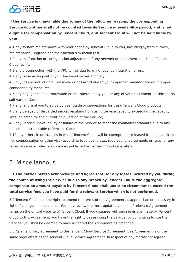

**If the Service is unavailable due to any of the following reasons, the corresponding Service downtime shall not be counted towards Service unavailability period, and is not eligible for compensation by Tencent Cloud, and Tencent Cloud will not be held liable to you:**

4.1 any system maintenance with prior notice by Tencent Cloud to you, including system cutover, maintenance, upgrade and malfunction simulation test;

4.2 any malfunction or configuration adjustment of any network or equipment that is not Tencent Cloud facility;

4.3 any disconnection with the VPN tunnel due to any of your configuration errors;

4.4 any issue arising out of your back-end server anomaly;

4.5 any loss or leak of data, passcode or password due to your improper maintenance or improper confidentiality measures;

4.6 any negligence in authorization or mal-operation by you, or any of your equipment, or third-party software or device;

4.7 any failure of you to abide by user guide or suggestions for using Tencent Cloud products;

4.8 any delayed or discarded packet resulting from using Service capacity exceeding the capacity limit indicated for the current paid version of the Service;

4.9 any Service unavailability or failure of the Service to meet the availability standard due to any reason not attributable to Tencent Cloud;

4.10 any other circumstances in which Tencent Cloud will be exempted or released from its liabilities (for compensation or otherwise) according to relevant laws, regulations, agreements or rules, or any terms of service, rules or guidelines published by Tencent Cloud separately.

# 5. Miscellaneous

#### 5.1 **The parties hereto acknowledge and agree that, for any losses incurred by you during the course of using the Service due to any breach by Tencent Cloud, the aggregate compensation amount payable by Tencent Cloud shall under no circumstance exceed the total service fees you have paid for the relevant Service which is not performed.**

5.2 Tencent Cloud has the right to amend the terms of this Agreement as appropriate or necessary in light of changes in due course. You may review the most updated version of relevant Agreement terms on the official website of Tencent Cloud. If you disagree with such revisions made by Tencent Cloud to this Agreement, you have the right to cease using the Service; by continuing to use the Service, you shall be deemed to have accepted the Agreement as amended.

5.3 As an ancillary agreement to the Tencent Cloud Service Agreement, this Agreement is of the same legal effect as the Tencent Cloud Service Agreement. In respect of any matter not agreed